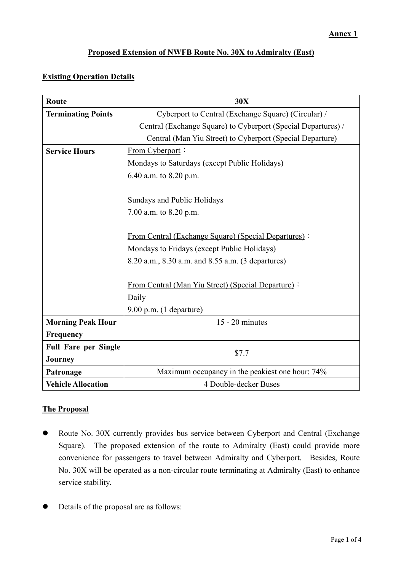# **Proposed Extension of NWFB Route No. 30X to Admiralty (East)**

# **Existing Operation Details**

| Route                       | 30X                                                           |  |  |  |
|-----------------------------|---------------------------------------------------------------|--|--|--|
| <b>Terminating Points</b>   | Cyberport to Central (Exchange Square) (Circular) /           |  |  |  |
|                             | Central (Exchange Square) to Cyberport (Special Departures) / |  |  |  |
|                             | Central (Man Yiu Street) to Cyberport (Special Departure)     |  |  |  |
| <b>Service Hours</b>        | From Cyberport:                                               |  |  |  |
|                             | Mondays to Saturdays (except Public Holidays)                 |  |  |  |
|                             | 6.40 a.m. to 8.20 p.m.                                        |  |  |  |
|                             |                                                               |  |  |  |
|                             | Sundays and Public Holidays                                   |  |  |  |
|                             | 7.00 a.m. to 8.20 p.m.                                        |  |  |  |
|                             |                                                               |  |  |  |
|                             | <b>From Central (Exchange Square) (Special Departures):</b>   |  |  |  |
|                             | Mondays to Fridays (except Public Holidays)                   |  |  |  |
|                             | 8.20 a.m., 8.30 a.m. and 8.55 a.m. (3 departures)             |  |  |  |
|                             |                                                               |  |  |  |
|                             | From Central (Man Yiu Street) (Special Departure):            |  |  |  |
|                             | Daily                                                         |  |  |  |
|                             | $9.00$ p.m. $(1$ departure)                                   |  |  |  |
| <b>Morning Peak Hour</b>    | $15 - 20$ minutes                                             |  |  |  |
| Frequency                   |                                                               |  |  |  |
| <b>Full Fare per Single</b> | \$7.7                                                         |  |  |  |
| <b>Journey</b>              |                                                               |  |  |  |
| Patronage                   | Maximum occupancy in the peakiest one hour: 74%               |  |  |  |
| <b>Vehicle Allocation</b>   | 4 Double-decker Buses                                         |  |  |  |

### **The Proposal**

- Route No. 30X currently provides bus service between Cyberport and Central (Exchange Square). The proposed extension of the route to Admiralty (East) could provide more convenience for passengers to travel between Admiralty and Cyberport. Besides, Route No. 30X will be operated as a non-circular route terminating at Admiralty (East) to enhance service stability.
- Details of the proposal are as follows: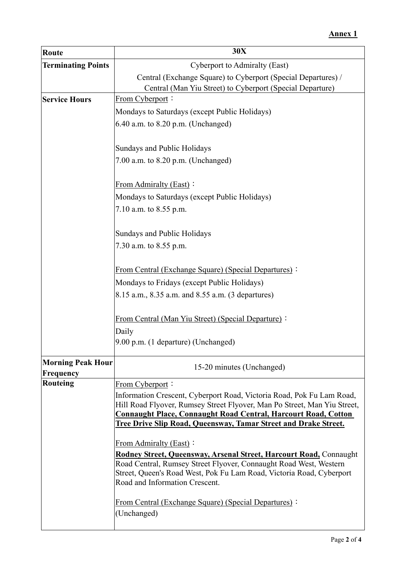| <b>Route</b>                                                                                                                                                                | 30X                                                                                                                                             |  |  |  |  |
|-----------------------------------------------------------------------------------------------------------------------------------------------------------------------------|-------------------------------------------------------------------------------------------------------------------------------------------------|--|--|--|--|
| <b>Terminating Points</b>                                                                                                                                                   | Cyberport to Admiralty (East)                                                                                                                   |  |  |  |  |
|                                                                                                                                                                             | Central (Exchange Square) to Cyberport (Special Departures) /                                                                                   |  |  |  |  |
|                                                                                                                                                                             | Central (Man Yiu Street) to Cyberport (Special Departure)                                                                                       |  |  |  |  |
| <b>Service Hours</b>                                                                                                                                                        | <b>From Cyberport:</b>                                                                                                                          |  |  |  |  |
|                                                                                                                                                                             | Mondays to Saturdays (except Public Holidays)                                                                                                   |  |  |  |  |
|                                                                                                                                                                             | 6.40 a.m. to 8.20 p.m. (Unchanged)                                                                                                              |  |  |  |  |
|                                                                                                                                                                             | Sundays and Public Holidays                                                                                                                     |  |  |  |  |
|                                                                                                                                                                             | 7.00 a.m. to 8.20 p.m. (Unchanged)                                                                                                              |  |  |  |  |
|                                                                                                                                                                             | From Admiralty (East):                                                                                                                          |  |  |  |  |
|                                                                                                                                                                             | Mondays to Saturdays (except Public Holidays)                                                                                                   |  |  |  |  |
|                                                                                                                                                                             | 7.10 a.m. to 8.55 p.m.                                                                                                                          |  |  |  |  |
|                                                                                                                                                                             | Sundays and Public Holidays                                                                                                                     |  |  |  |  |
|                                                                                                                                                                             | 7.30 a.m. to 8.55 p.m.                                                                                                                          |  |  |  |  |
|                                                                                                                                                                             | <b>From Central (Exchange Square) (Special Departures):</b>                                                                                     |  |  |  |  |
|                                                                                                                                                                             | Mondays to Fridays (except Public Holidays)                                                                                                     |  |  |  |  |
|                                                                                                                                                                             | 8.15 a.m., 8.35 a.m. and 8.55 a.m. (3 departures)                                                                                               |  |  |  |  |
|                                                                                                                                                                             | <b>From Central (Man Yiu Street) (Special Departure):</b>                                                                                       |  |  |  |  |
|                                                                                                                                                                             | Daily                                                                                                                                           |  |  |  |  |
|                                                                                                                                                                             | 9.00 p.m. (1 departure) (Unchanged)                                                                                                             |  |  |  |  |
| <b>Morning Peak Hour</b><br>Frequency                                                                                                                                       | 15-20 minutes (Unchanged)                                                                                                                       |  |  |  |  |
| <b>Routeing</b>                                                                                                                                                             | From Cyberport:                                                                                                                                 |  |  |  |  |
|                                                                                                                                                                             | Information Crescent, Cyberport Road, Victoria Road, Pok Fu Lam Road,                                                                           |  |  |  |  |
|                                                                                                                                                                             | Hill Road Flyover, Rumsey Street Flyover, Man Po Street, Man Yiu Street,                                                                        |  |  |  |  |
|                                                                                                                                                                             | <b>Connaught Place, Connaught Road Central, Harcourt Road, Cotton</b><br><b>Tree Drive Slip Road, Queensway, Tamar Street and Drake Street.</b> |  |  |  |  |
|                                                                                                                                                                             |                                                                                                                                                 |  |  |  |  |
|                                                                                                                                                                             | From Admiralty (East):<br>Rodney Street, Queensway, Arsenal Street, Harcourt Road, Connaught                                                    |  |  |  |  |
| Road Central, Rumsey Street Flyover, Connaught Road West, Western<br>Street, Queen's Road West, Pok Fu Lam Road, Victoria Road, Cyberport<br>Road and Information Crescent. |                                                                                                                                                 |  |  |  |  |
|                                                                                                                                                                             | <b>From Central (Exchange Square) (Special Departures):</b><br>(Unchanged)                                                                      |  |  |  |  |
|                                                                                                                                                                             |                                                                                                                                                 |  |  |  |  |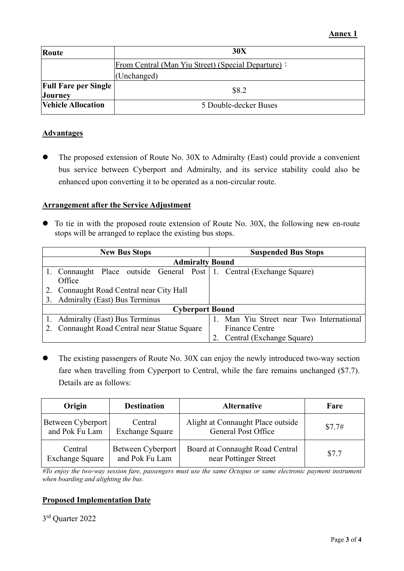| Route                       | 30X                                                |  |  |  |
|-----------------------------|----------------------------------------------------|--|--|--|
|                             | From Central (Man Yiu Street) (Special Departure): |  |  |  |
|                             | (Unchanged)                                        |  |  |  |
| <b>Full Fare per Single</b> | \$8.2                                              |  |  |  |
| <b>Journey</b>              |                                                    |  |  |  |
| <b>Vehicle Allocation</b>   | 5 Double-decker Buses                              |  |  |  |

### **Advantages**

 The proposed extension of Route No. 30X to Admiralty (East) could provide a convenient bus service between Cyberport and Admiralty, and its service stability could also be enhanced upon converting it to be operated as a non-circular route.

#### **Arrangement after the Service Adjustment**

 To tie in with the proposed route extension of Route No. 30X, the following new en-route stops will be arranged to replace the existing bus stops.

|                        | <b>New Bus Stops</b>                                                 | <b>Suspended Bus Stops</b>            |  |  |  |  |  |
|------------------------|----------------------------------------------------------------------|---------------------------------------|--|--|--|--|--|
| <b>Admiralty Bound</b> |                                                                      |                                       |  |  |  |  |  |
|                        | 1. Connaught Place outside General Post 1. Central (Exchange Square) |                                       |  |  |  |  |  |
|                        | Office                                                               |                                       |  |  |  |  |  |
|                        | Connaught Road Central near City Hall                                |                                       |  |  |  |  |  |
| 3.                     | <b>Admiralty (East) Bus Terminus</b>                                 |                                       |  |  |  |  |  |
| <b>Cyberport Bound</b> |                                                                      |                                       |  |  |  |  |  |
|                        | 1. Admiralty (East) Bus Terminus                                     | Man Yiu Street near Two International |  |  |  |  |  |
|                        | Connaught Road Central near Statue Square                            | <b>Finance Centre</b>                 |  |  |  |  |  |
|                        |                                                                      | Central (Exchange Square)             |  |  |  |  |  |

 The existing passengers of Route No. 30X can enjoy the newly introduced two-way section fare when travelling from Cyperport to Central, while the fare remains unchanged (\$7.7). Details are as follows:

| Origin                 | <b>Destination</b>     | <b>Alternative</b>                | Fare   |
|------------------------|------------------------|-----------------------------------|--------|
| Between Cyberport      | Central                | Alight at Connaught Place outside | \$7.7# |
| and Pok Fu Lam         | <b>Exchange Square</b> | <b>General Post Office</b>        |        |
| Central                | Between Cyberport      | Board at Connaught Road Central   | \$7.7  |
| <b>Exchange Square</b> | and Pok Fu Lam         | near Pottinger Street             |        |

*#To enjoy the two-way session fare, passengers must use the same Octopus or same electronic payment instrument when boarding and alighting the bus.*

### **Proposed Implementation Date**

3rd Quarter 2022